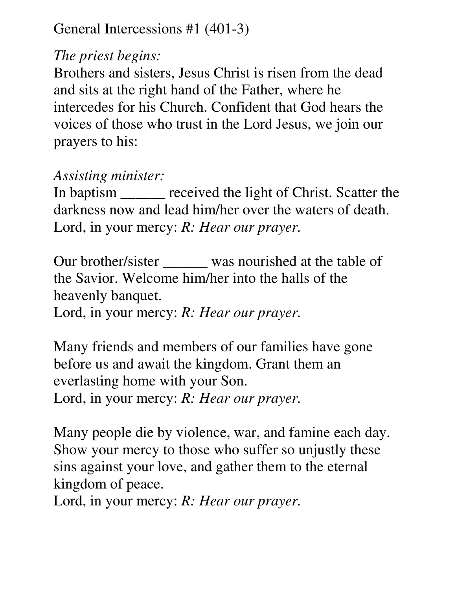## General Intercessions #1 (401-3)

## *The priest begins:*

Brothers and sisters, Jesus Christ is risen from the dead and sits at the right hand of the Father, where he intercedes for his Church. Confident that God hears the voices of those who trust in the Lord Jesus, we join our prayers to his:

## *Assisting minister:*

In baptism \_\_\_\_\_\_ received the light of Christ. Scatter the darkness now and lead him/her over the waters of death. Lord, in your mercy: *R: Hear our prayer.* 

Our brother/sister \_\_\_\_\_\_ was nourished at the table of the Savior. Welcome him/her into the halls of the heavenly banquet. Lord, in your mercy: *R: Hear our prayer.* 

Many friends and members of our families have gone before us and await the kingdom. Grant them an everlasting home with your Son. Lord, in your mercy: *R: Hear our prayer.* 

Many people die by violence, war, and famine each day. Show your mercy to those who suffer so unjustly these sins against your love, and gather them to the eternal kingdom of peace.

Lord, in your mercy: *R: Hear our prayer.*